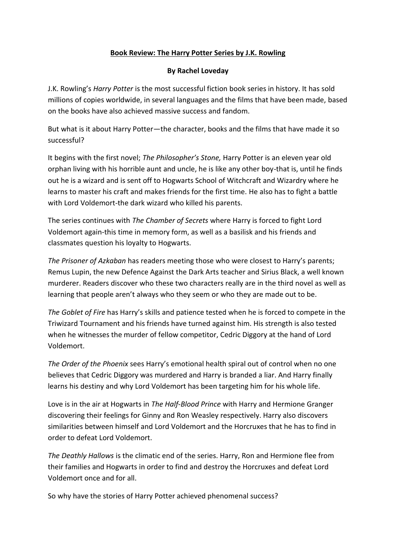## **Book Review: The Harry Potter Series by J.K. Rowling**

## **By Rachel Loveday**

J.K. Rowling's *Harry Potter* is the most successful fiction book series in history. It has sold millions of copies worldwide, in several languages and the films that have been made, based on the books have also achieved massive success and fandom.

But what is it about Harry Potter—the character, books and the films that have made it so successful?

It begins with the first novel; *The Philosopher's Stone,* Harry Potter is an eleven year old orphan living with his horrible aunt and uncle, he is like any other boy-that is, until he finds out he is a wizard and is sent off to Hogwarts School of Witchcraft and Wizardry where he learns to master his craft and makes friends for the first time. He also has to fight a battle with Lord Voldemort-the dark wizard who killed his parents.

The series continues with *The Chamber of Secrets* where Harry is forced to fight Lord Voldemort again-this time in memory form, as well as a basilisk and his friends and classmates question his loyalty to Hogwarts.

*The Prisoner of Azkaban* has readers meeting those who were closest to Harry's parents; Remus Lupin, the new Defence Against the Dark Arts teacher and Sirius Black, a well known murderer. Readers discover who these two characters really are in the third novel as well as learning that people aren't always who they seem or who they are made out to be.

*The Goblet of Fire* has Harry's skills and patience tested when he is forced to compete in the Triwizard Tournament and his friends have turned against him. His strength is also tested when he witnesses the murder of fellow competitor, Cedric Diggory at the hand of Lord Voldemort.

*The Order of the Phoenix* sees Harry's emotional health spiral out of control when no one believes that Cedric Diggory was murdered and Harry is branded a liar. And Harry finally learns his destiny and why Lord Voldemort has been targeting him for his whole life.

Love is in the air at Hogwarts in *The Half-Blood Prince* with Harry and Hermione Granger discovering their feelings for Ginny and Ron Weasley respectively. Harry also discovers similarities between himself and Lord Voldemort and the Horcruxes that he has to find in order to defeat Lord Voldemort.

*The Deathly Hallows* is the climatic end of the series. Harry, Ron and Hermione flee from their families and Hogwarts in order to find and destroy the Horcruxes and defeat Lord Voldemort once and for all.

So why have the stories of Harry Potter achieved phenomenal success?